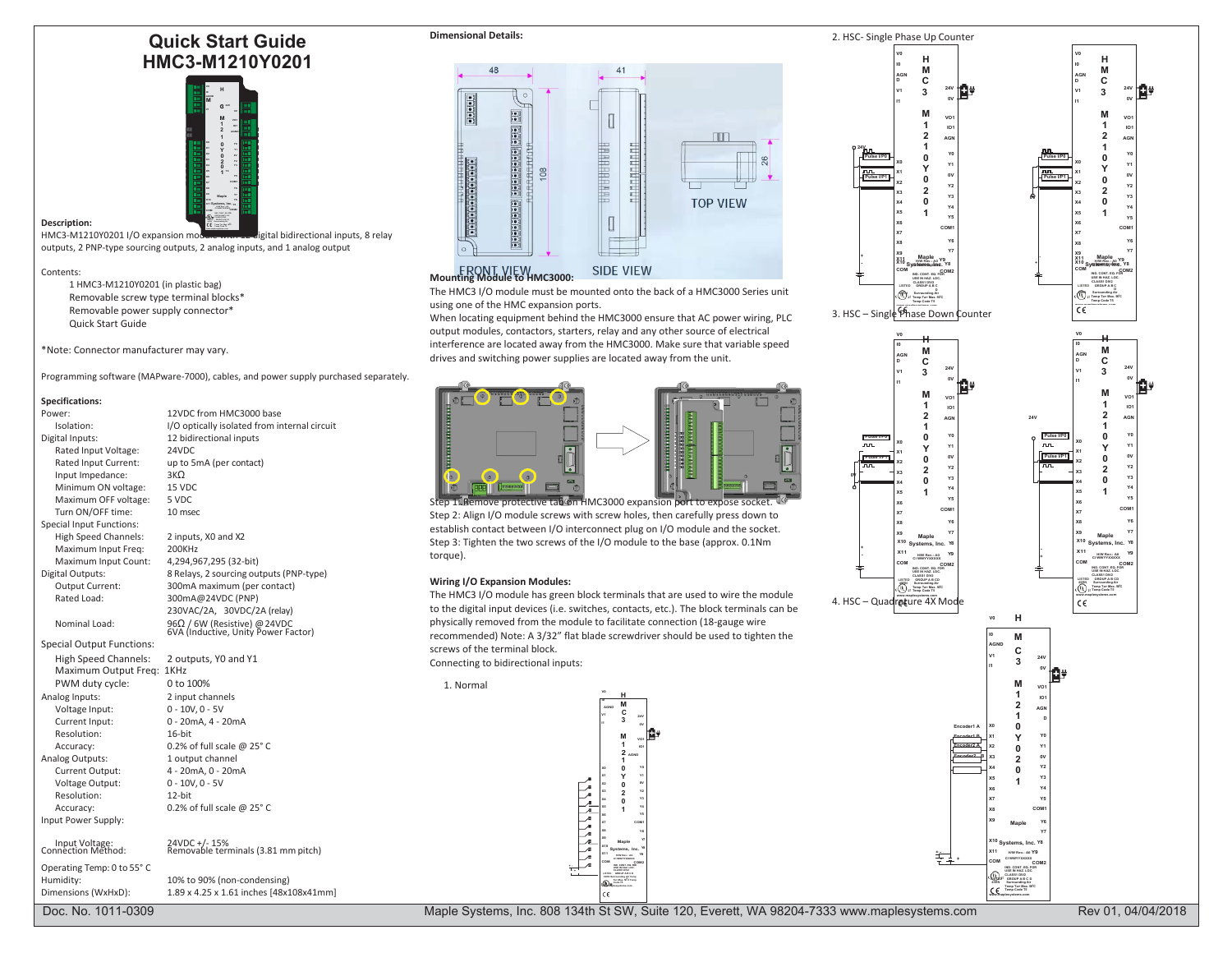# **Quick Start Guide HMC3-M1210Y0201**



# **Description:**

HMC3-M1210Y0201 I/O expansion module with 12 digital bidirectional inputs, 8 relay outputs, 2 PNP-type sourcing outputs, 2 analog inputs, and 1 analog output

#### Contents:

1 HMC3-M1210Y0201 (in plastic bag) Removable screw type terminal blocks\* Removable power supply connector\* Quick Start Guide

\*Note: Connector manufacturer may vary.

Programming software (MAPware-7000), cables, and power supply purchased separately.

# **Specifications:**

| specifications:                                     |                                                                     |
|-----------------------------------------------------|---------------------------------------------------------------------|
| Power:                                              | 12VDC from HMC3000 base                                             |
| Isolation:                                          | I/O optically isolated from internal circuit                        |
| Digital Inputs:                                     | 12 bidirectional inputs                                             |
| Rated Input Voltage:                                | 24VDC                                                               |
| Rated Input Current:                                | up to 5mA (per contact)                                             |
| Input Impedance:                                    | 3KQ                                                                 |
| Minimum ON voltage:                                 | <b>15 VDC</b>                                                       |
| Maximum OFF voltage:                                | 5 VDC                                                               |
| Turn ON/OFF time:                                   | 10 msec                                                             |
| <b>Special Input Functions:</b>                     |                                                                     |
| <b>High Speed Channels:</b>                         | 2 inputs, X0 and X2                                                 |
| Maximum Input Freg:                                 | 200KHz                                                              |
| Maximum Input Count:                                | 4,294,967,295 (32-bit)                                              |
| Digital Outputs:                                    | 8 Relays, 2 sourcing outputs (PNP-type)                             |
| Output Current:                                     | 300mA maximum (per contact)                                         |
| Rated Load:                                         | 300mA@24VDC (PNP)                                                   |
|                                                     | 230VAC/2A, 30VDC/2A (relay)                                         |
| Nominal Load:                                       | 96Ω / 6W (Resistive) @ 24VDC<br>6VA (Inductive, Unity Power Factor) |
| <b>Special Output Functions:</b>                    |                                                                     |
| <b>High Speed Channels:</b><br>Maximum Output Freq: | 2 outputs, YO and Y1<br>1KHz                                        |
| PWM duty cycle:                                     | 0 to 100%                                                           |
| Analog Inputs:                                      | 2 input channels                                                    |
| Voltage Input:                                      | $0 - 10V, 0 - 5V$                                                   |
| Current Input:                                      | 0 - 20mA, 4 - 20mA                                                  |
| Resolution:                                         | $16$ -bit                                                           |
| Accuracy:                                           | 0.2% of full scale @ $25^{\circ}$ C                                 |
| Analog Outputs:                                     | 1 output channel                                                    |
| Current Output:                                     | 4 - 20mA, 0 - 20mA                                                  |
| Voltage Output:                                     | $0 - 10V, 0 - 5V$                                                   |
| Resolution:                                         | $12$ -bit                                                           |
| Accuracy:                                           | 0.2% of full scale @ $25^{\circ}$ C                                 |
| Input Power Supply:                                 |                                                                     |
|                                                     |                                                                     |

Operating Temp: 0 to 55°C Humidity: 10% to 90% (non-condensing)

Dimensions (WxHxD): 1.89 x 4.25 x 1.61 inches [48x108x41mm]





The HMC3 I/O module must be mounted onto the back of a HMC3000 Series unit using one of the HMC expansion ports.

When locating equipment behind the HMC3000 ensure that AC power wiring, PLC output modules, contactors, starters, relay and any other source of electrical interference are located away from the HMC3000. Make sure that variable speed drives and switching power supplies are located away from the unit.



tab on HMC3000 expansion Step 2: Align I/O module screws with screw holes, then carefully press down to establish contact between I/O interconnect plug on I/O module and the socket. Step 3: Tighten the two screws of the I/O module to the base (approx. 0.1Nm torque).

### **Wiring I/O Expansion Modules:**

1. Normal

The HMC3 I/O module has green block terminals that are used to wire the module to the digital input devices (i.e. switches, contacts, etc.). The block terminals can be physically removed from the module to facilitate connection (18-gauge wire recommended) Note: A 3/32" flat blade screwdriver should be used to tighten the screws of the terminal block. Connecting to bidirectional inputs:





**COM COM2 IND. CONT. EQ. FOR USE IN HAZ. LOC. CLASS1 DIV2 LISTED GROUP A B C D 49RN Surrounding Air Temp Ta= Max. 50 OC Temp Code T5 [www.maplesystems.com](http://www.maplesystems.com/)**

Doc. No. 1011-0309 Rev 01, 04/04/2018 Maple Systems, Inc. 808 134th St SW, Suite 120, Everett, WA 98204-7333 [www.maplesystems.com](http://www.maplesystems.com/) Rev 01, 04/04/2018